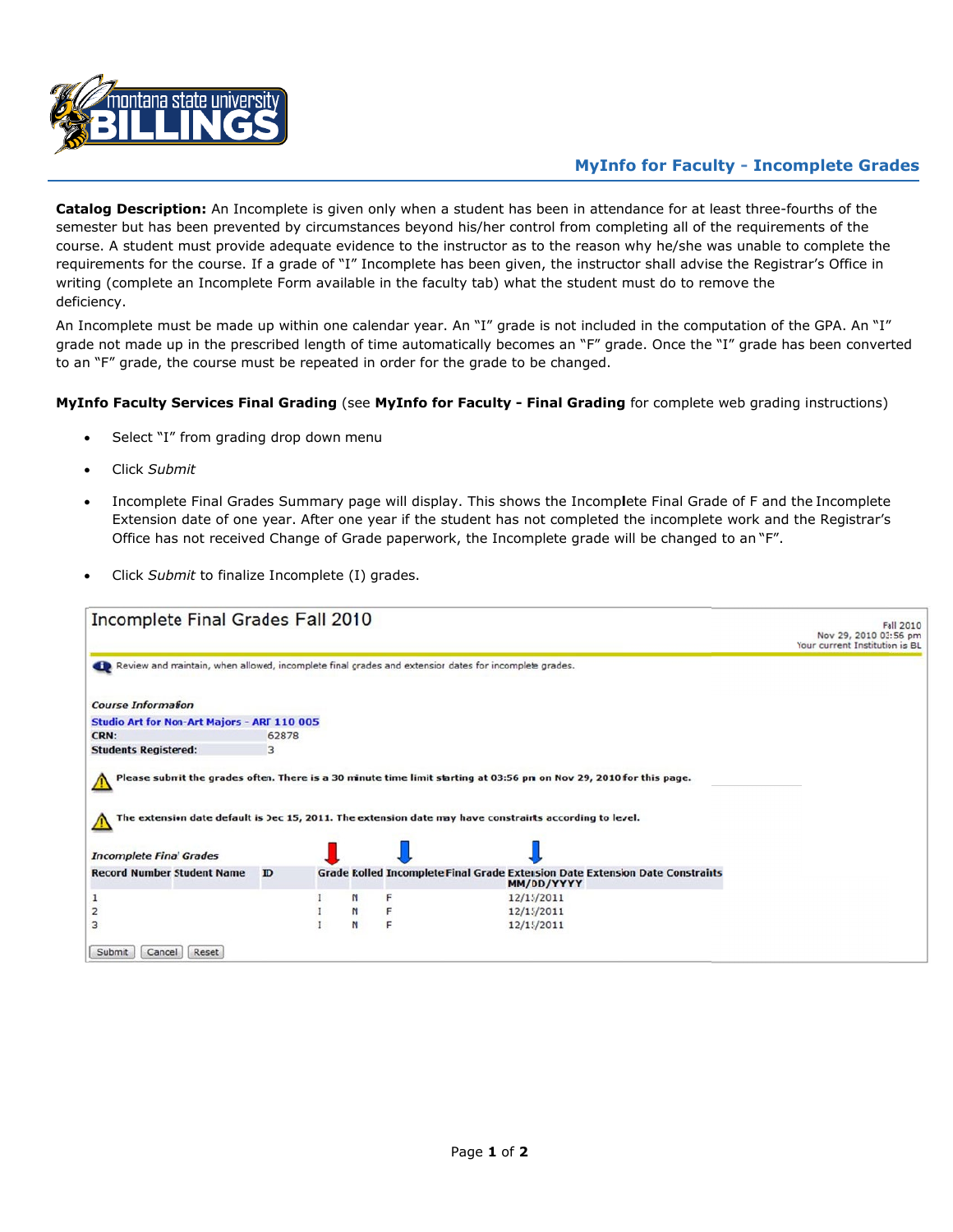

## **MyInfo for Faculty - Incomplete Grades**

**Catalog Description:** An Incomplete is given only when a student has been in attendance for at least three-fourths of the semester but has been prevented by circumstances beyond his/her control from completing all of the requirements of the course. A student must provide adequate evidence to the instructor as to the reason why he/she was unable to complete the requirements for the course. If a grade of "I" Incomplete has been given, the instructor shall advise the Registrar's Office in writing (complete an Incomplete Form available in the faculty tab) what the student must do to remove the deficiency.

An Incomplete must be made up within one calendar year. An "I" grade is not included in the computation of the GPA. An "I" grade not made up in the prescribed length of time automatically becomes an "F" grade. Once the "I" grade has been converted to an "F" grade, the course must be repeated in order for the grade to be changed.

## **MyInfo Faculty Services Final Grading** (see **MyInfo for Faculty - Final Grading** for complete web grading instructions)

- Select "I" from grading drop down menu
- Click *Submit*
- Incomplete Final Grades Summary page will display. This shows the Incomp**l**ete Final Grade of F and the Incomplete Extension date of one year. After one year if the student has not completed the incomplete work and the Registrar's Office has not received Change of Grade paperwork, the Incomplete grade will be changed to an "F".
- Click *Submit* to finalize Incomplete (I) grades.

| Incomplete Final Grades Fall 2010                                                                     |       |   |   |                                                                                                         | Fall 2010<br>Nov 29, 2010 03:56 pm<br>Your current Institution is BL |
|-------------------------------------------------------------------------------------------------------|-------|---|---|---------------------------------------------------------------------------------------------------------|----------------------------------------------------------------------|
| Review and maintain, when allowed, incomplete final grades and extensior dates for incomplete grades. |       |   |   |                                                                                                         |                                                                      |
| <b>Course Information</b>                                                                             |       |   |   |                                                                                                         |                                                                      |
| Studio Art for Non-Art Majors - ART 110 005                                                           |       |   |   |                                                                                                         |                                                                      |
| CRN:                                                                                                  | 62878 |   |   |                                                                                                         |                                                                      |
| <b>Students Registered:</b>                                                                           | 3     |   |   |                                                                                                         |                                                                      |
| <b>Incomplete Final Grades</b>                                                                        |       |   |   | The extension date default is Dec 15, 2011. The extension date may have constraints according to level. |                                                                      |
| <b>Record Number Student Name</b>                                                                     | ID    |   |   | Grade Rolled Incomplete Final Grade Extension Date Extension Date Constraints<br>MM/DD/YYYY             |                                                                      |
|                                                                                                       |       | N | F | 12/15/2011                                                                                              |                                                                      |
|                                                                                                       |       | N | F | 12/15/2011                                                                                              |                                                                      |
| 3                                                                                                     |       | N | F | 12/15/2011                                                                                              |                                                                      |
| Submit<br>Reset<br>Cancel                                                                             |       |   |   |                                                                                                         |                                                                      |